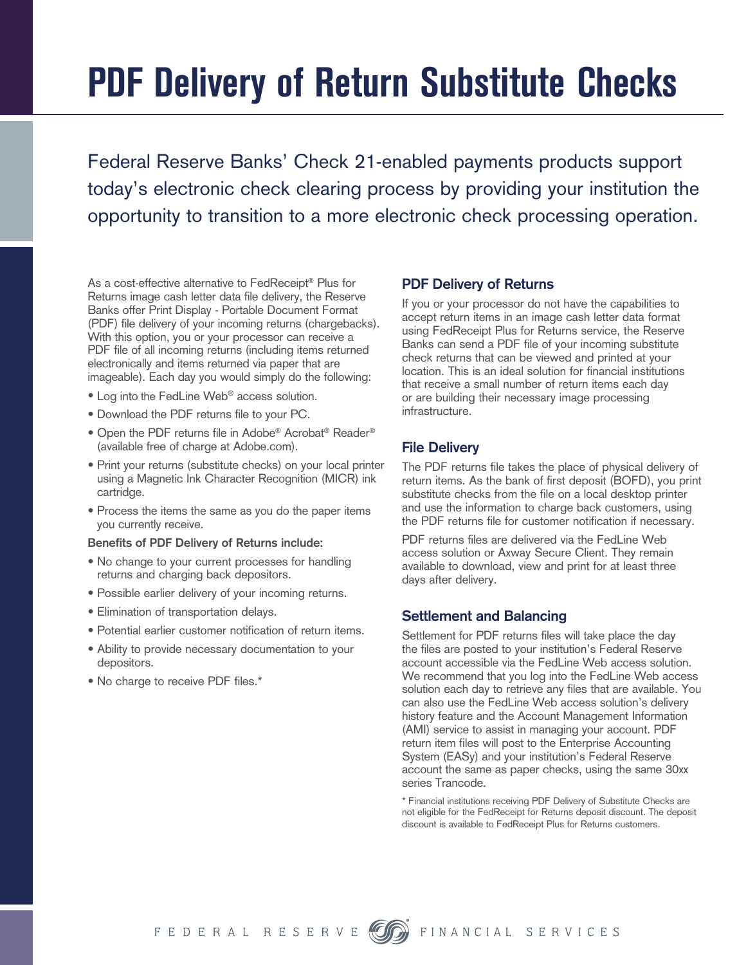# **PDF Delivery of Return Substitute Checks**

Federal Reserve Banks' Check 21-enabled payments products support today's electronic check clearing process by providing your institution the opportunity to transition to a more electronic check processing operation.

As a cost-effective alternative to FedReceipt® Plus for Returns image cash letter data file delivery, the Reserve Banks offer Print Display - Portable Document Format (PDF) file delivery of your incoming returns (chargebacks). With this option, you or your processor can receive a PDF file of all incoming returns (including items returned electronically and items returned via paper that are imageable). Each day you would simply do the following:

- Log into the FedLine Web® access solution.
- Download the PDF returns file to your PC.
- Open the PDF returns file in Adobe® Acrobat® Reader® (available free of charge at Adobe.com).
- Print your returns (substitute checks) on your local printer using a Magnetic Ink Character Recognition (MICR) ink cartridge.
- Process the items the same as you do the paper items you currently receive.

#### **Benefits of PDF Delivery of Returns include:**

- No change to your current processes for handling returns and charging back depositors.
- Possible earlier delivery of your incoming returns.
- Elimination of transportation delays.
- Potential earlier customer notification of return items.
- Ability to provide necessary documentation to your depositors.
- No charge to receive PDF files.\*

#### **PDF Delivery of Returns**

If you or your processor do not have the capabilities to accept return items in an image cash letter data format using FedReceipt Plus for Returns service, the Reserve Banks can send a PDF file of your incoming substitute check returns that can be viewed and printed at your location. This is an ideal solution for financial institutions that receive a small number of return items each day or are building their necessary image processing infrastructure.

#### **File Delivery**

The PDF returns file takes the place of physical delivery of return items. As the bank of first deposit (BOFD), you print substitute checks from the file on a local desktop printer and use the information to charge back customers, using the PDF returns file for customer notification if necessary.

PDF returns files are delivered via the FedLine Web access solution or Axway Secure Client. They remain available to download, view and print for at least three days after delivery.

#### **Settlement and Balancing**

Settlement for PDF returns files will take place the day the files are posted to your institution's Federal Reserve account accessible via the FedLine Web access solution. We recommend that you log into the FedLine Web access solution each day to retrieve any files that are available. You can also use the FedLine Web access solution's delivery history feature and the Account Management Information (AMI) service to assist in managing your account. PDF return item files will post to the Enterprise Accounting System (EASy) and your institution's Federal Reserve account the same as paper checks, using the same 30xx series Trancode.

\* Financial institutions receiving PDF Delivery of Substitute Checks are not eligible for the FedReceipt for Returns deposit discount. The deposit discount is available to FedReceipt Plus for Returns customers.

FEDERAL RESERVE



**O** FINANCIAL SERVICES